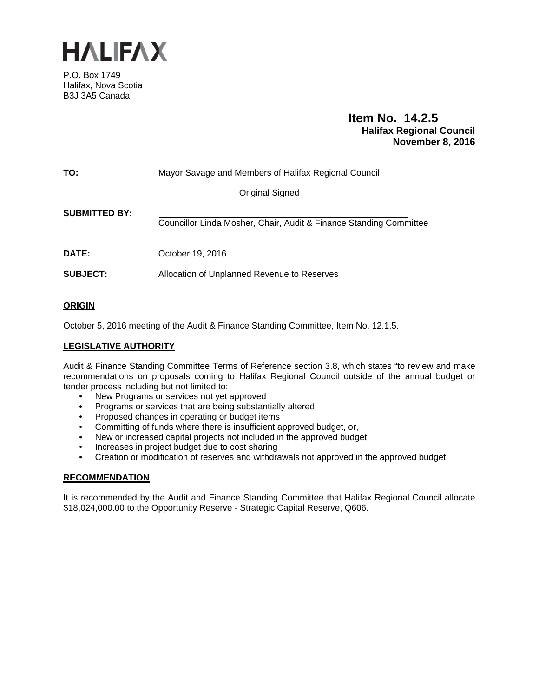

P.O. Box 1749 Halifax, Nova Scotia B3J 3A5 Canada

# **Item No. 14.2.5 Halifax Regional Council November 8, 2016**

| TO:                  | Mayor Savage and Members of Halifax Regional Council               |  |  |  |  |
|----------------------|--------------------------------------------------------------------|--|--|--|--|
|                      | <b>Original Signed</b>                                             |  |  |  |  |
| <b>SUBMITTED BY:</b> | Councillor Linda Mosher, Chair, Audit & Finance Standing Committee |  |  |  |  |
| <b>DATE:</b>         | October 19, 2016                                                   |  |  |  |  |
| <b>SUBJECT:</b>      | Allocation of Unplanned Revenue to Reserves                        |  |  |  |  |

## **ORIGIN**

October 5, 2016 meeting of the Audit & Finance Standing Committee, Item No. 12.1.5.

## **LEGISLATIVE AUTHORITY**

Audit & Finance Standing Committee Terms of Reference section 3.8, which states "to review and make recommendations on proposals coming to Halifax Regional Council outside of the annual budget or tender process including but not limited to:

- New Programs or services not yet approved
- Programs or services that are being substantially altered
- Proposed changes in operating or budget items
- Committing of funds where there is insufficient approved budget, or,
- New or increased capital projects not included in the approved budget
- Increases in project budget due to cost sharing
- Creation or modification of reserves and withdrawals not approved in the approved budget

## **RECOMMENDATION**

It is recommended by the Audit and Finance Standing Committee that Halifax Regional Council allocate \$18,024,000.00 to the Opportunity Reserve - Strategic Capital Reserve, Q606.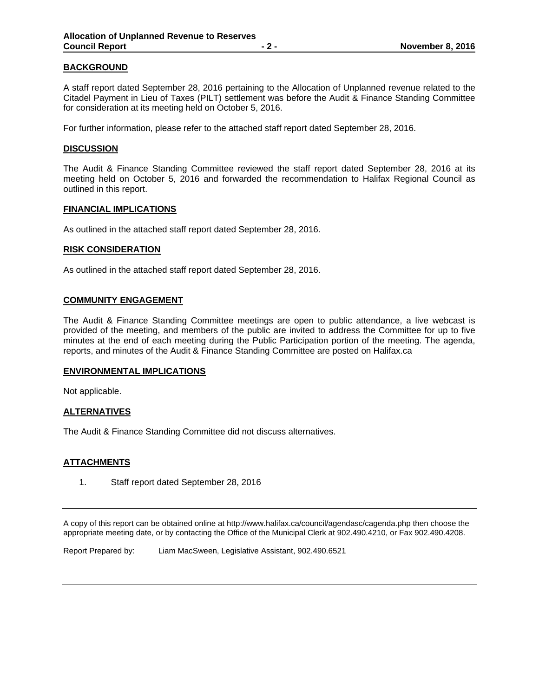## **BACKGROUND**

A staff report dated September 28, 2016 pertaining to the Allocation of Unplanned revenue related to the Citadel Payment in Lieu of Taxes (PILT) settlement was before the Audit & Finance Standing Committee for consideration at its meeting held on October 5, 2016.

For further information, please refer to the attached staff report dated September 28, 2016.

### **DISCUSSION**

The Audit & Finance Standing Committee reviewed the staff report dated September 28, 2016 at its meeting held on October 5, 2016 and forwarded the recommendation to Halifax Regional Council as outlined in this report.

### **FINANCIAL IMPLICATIONS**

As outlined in the attached staff report dated September 28, 2016.

### **RISK CONSIDERATION**

As outlined in the attached staff report dated September 28, 2016.

## **COMMUNITY ENGAGEMENT**

The Audit & Finance Standing Committee meetings are open to public attendance, a live webcast is provided of the meeting, and members of the public are invited to address the Committee for up to five minutes at the end of each meeting during the Public Participation portion of the meeting. The agenda, reports, and minutes of the Audit & Finance Standing Committee are posted on Halifax.ca

### **ENVIRONMENTAL IMPLICATIONS**

Not applicable.

## **ALTERNATIVES**

The Audit & Finance Standing Committee did not discuss alternatives.

## **ATTACHMENTS**

1. Staff report dated September 28, 2016

A copy of this report can be obtained online at http://www.halifax.ca/council/agendasc/cagenda.php then choose the appropriate meeting date, or by contacting the Office of the Municipal Clerk at 902.490.4210, or Fax 902.490.4208.

Report Prepared by: Liam MacSween, Legislative Assistant, 902.490.6521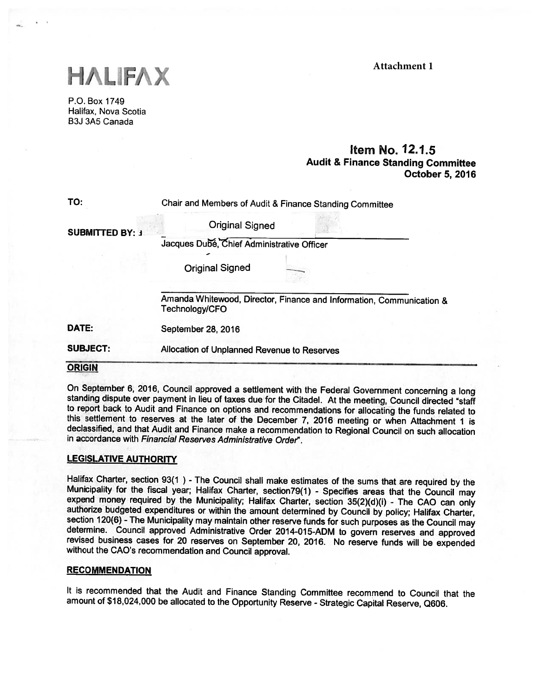**Attachment 1**



P.O. Box 1749 Halifax, Nova Scotia B3J 3A5 Canada

# Item No. 12.1.5 Audit & Finance Standing Committee October 5, 2016

TO: Chair and Members of Audit & Finance Standing Committee

SUBMITTED BY: J. Criginal Signed

Jacques Dubé, Chief Administrative Officer

**Original Signed** 

Amanda Whitewood, Director, Finance and Information, Communication & Technology/CEO

DATE: September 28, 2016

SUBJECT: Allocation of Unplanned Revenue to Reserves

ORIGIN

On September 6, 2016, Council approved a settlement with the Federal Government concerning a long standing dispute over payment in lieu of taxes due for the Citadel. At the meeting, Council directed "staff to report back t this settlement to reserves at the later of the December 7, 2016 meeting or when Attachment 1 is declassified, and that Audit and Finance make a recommendation to Regional Council on such allocation in accordance with Fina

## LEGISLATIVE AUTHORITY

Halifax Charter, section 93(1) - The Council shall make estimates of the sums that are required by the Municipality for the fiscal year; Halifax Charter, section 79(1) - Specifies areas that the Council may expend money r

## **RECOMMENDATION**

It is recommended that the Audit and Finance Standing Committee recommend to Council that the amount of \$18,024,000 be allocated to the Opportunity Reserve - Strategic Capital Reserve, Q606.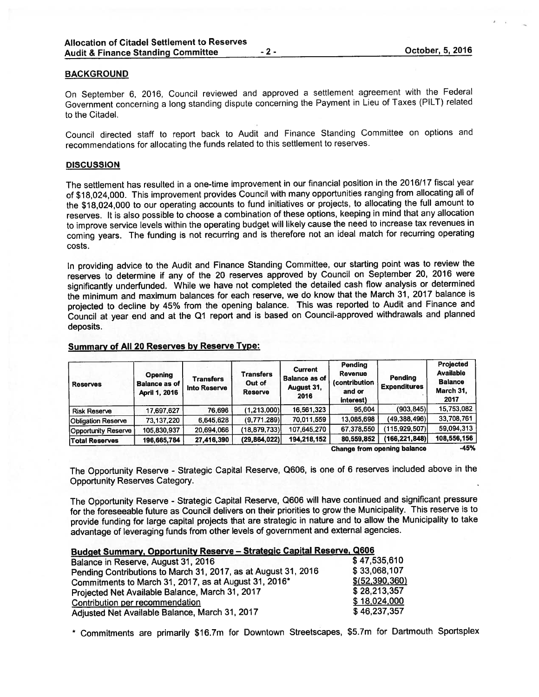#### **BACKGROUND**

On September 6, 2016, Council reviewed and approve<sup>d</sup> <sup>a</sup> settlement agreemen<sup>t</sup> with the Federal Government concerning <sup>a</sup> long standing dispute concerning the Payment in Lieu of Taxes (PILT) related to the Citadel.

Council directed staff to repor<sup>t</sup> back to Audit and Finance Standing Committee on options and recommendations for allocating the funds related to this settlement to reserves.

#### **DISCUSSION**

The settlement has resulted in <sup>a</sup> one-time improvement in our financial position in the 2016/17 fiscal year of \$18,024,000. This improvement provides Council with many opportunities ranging from allocating all of the \$18,024,000 to our operating accounts to fund initiatives or projects, to allocating the full amount to reserves. It is also possible to choose <sup>a</sup> combination of these options, keeping in mind that any allocation to improve service levels within the operating budget will likely cause the need to increase tax revenues in coming years. The funding is not recurring and is therefore not an ideal match for recurring operating costs.

In providing advice to the Audit and Finance Standing Committee, our starting point was to review the reserves to determine if any of the <sup>20</sup> reserves approve<sup>d</sup> by Council on September 20, <sup>2016</sup> were significantly underfunded. While we have not completed the detailed cash flow analysis or determined the minimum and maximum balances for each reserve, we do know that the March 31, <sup>2017</sup> balance is projected to decline by 45% from the opening balance. This was reported to Audit and Finance and Council at year end and at the Q1 report and is based on Council-approved withdrawals and planned deposits.

| <b>Reserves</b>             | Opening<br><b>Balance as of</b><br>April 1, 2016 | <b>Transfers</b><br><b>Into Reserve</b> | <b>Transfers</b><br>Out of<br>Reserve | <b>Current</b><br><b>Balance as of</b><br>August 31,<br>2016 | Pending<br>Revenue<br>(contribution<br>and or<br>interest) | Pending<br><b>Expenditures</b> | Projected<br><b>Available</b><br><b>Balance</b><br>March 31,<br>2017 |
|-----------------------------|--------------------------------------------------|-----------------------------------------|---------------------------------------|--------------------------------------------------------------|------------------------------------------------------------|--------------------------------|----------------------------------------------------------------------|
| <b>Risk Reserve</b>         | 17,697,627                                       | 76,696                                  | (1,213,000)                           | 16,561,323                                                   | 95,604                                                     | (903.845)                      | 15,753,082                                                           |
| <b>Obligation Reserve</b>   | 73,137,220                                       | 6,645,628                               | (9.771, 289)                          | 70,011,559                                                   | 13,085,698                                                 | (49,388,496)                   | 33,708,761                                                           |
| Opportunity Reserve         | 105,830,937                                      | 20,694,066                              | (18, 879, 733)                        | 107,645,270                                                  | 67,378,550                                                 | (115, 929, 507)                | 59,094,313                                                           |
| <b>Total Reserves</b>       | 196,665,784                                      | 27,416,390                              | (29, 864, 022)                        | 194,218,152                                                  | 80.559.852                                                 | (166, 221, 848)                | 108,556,156                                                          |
| Change from opening belance |                                                  |                                         |                                       |                                                              |                                                            |                                | -45%                                                                 |

## Summary of All 20 Reserves by Reserve Type:

Change from opening balance -45%

The Opportunity Reserve - Strategic Capital Reserve, Q606, is one of <sup>6</sup> reserves included above in the Opportunity Reserves Category.

The Opportunity Reserve -Strategic Capital Reserve, Q606 will have continued and significant pressure for the foreseeable future as Council delivers on their priorities to grow the Municipality. This reserve is to provide funding for large capital projects that are strategic in nature and to allow the Municipality to take advantage of leveraging funds from other levels of governmen<sup>t</sup> and external agencies.

#### Budget Summary, Opportunity Reserve — Strategic Capital Reserve, Q606

| Balance in Reserve, August 31, 2016                            | \$47,535,610   |
|----------------------------------------------------------------|----------------|
| Pending Contributions to March 31, 2017, as at August 31, 2016 | \$33,068,107   |
| Commitments to March 31, 2017, as at August 31, 2016*          | \$(52,390,360) |
| Projected Net Available Balance, March 31, 2017                | \$28,213,357   |
| Contribution per recommendation                                | \$18,024,000   |
| Adjusted Net Available Balance, March 31, 2017                 | \$46,237,357   |

\* Commitments are primarily \$16.7m for Downtown Streetscapes, \$5.7m for Dartmouth Sportsplex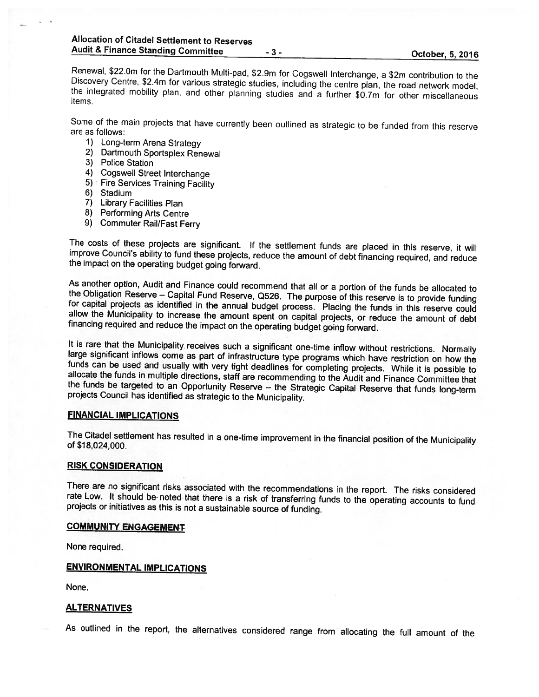Renewal, \$22.0m for the Dartmouth Multi-pad, \$2.9m for Cogswell Interchange, a \$2m contribution to the Discovery Centre, \$2.4m for various strategic studies, including the centre plan, the road network model, the integrate

Some of the main projects that have currently been outlined as strategic to be funded from this reserve are as follows:

- 1) Long-term Arena Strategy
- 2) Dartmouth Sportsplex Renewal
- 3) Police Station
- 4) Cogswell Street Interchange
- 5) Fire Services Training Facility
- 6) Stadium
- 7) Library Facilities Plan
- 8) Performing Arts Centre
- 9) Commuter Rail/Fast Ferry

The costs of these projects are significant. If the settlement funds are placed in this reserve, it will improve Council's ability to fund these projects, reduce the amount of debt financing required, and reduce the impact

As another option, Audit and Finance could recommend that all or a portion of the funds be allocated to the Obligation Reserve – Capital Fund Reserve, Q526. The purpose of this reserve is to provide funding for capital pro

It is rare that the Municipality receives such a significant one-time inflow without restrictions. Normally large significant inflows come as part of infrastructure type programs which have restriction on how the funds can

#### FINANCIAL IMPLICATIONS

The Citadel settlement has resulted in <sup>a</sup> one-time improvement in the financial position of the Municipality of \$18,024,000.

#### RISK CONSIDERATION

There are no significant risks associated with the recommendations in the report. The risks considered rate Low. It should be noted that there is a risk of transferring funds to the operating accounts to fund projects or i

### COMMUNITY ENGAGEMENT

None required.

## ENVIRONMENTAL IMPLICATIONS

None.

### **ALTERNATIVES**

As outlined in the report, the alternatives considered range from allocating the full amount of the